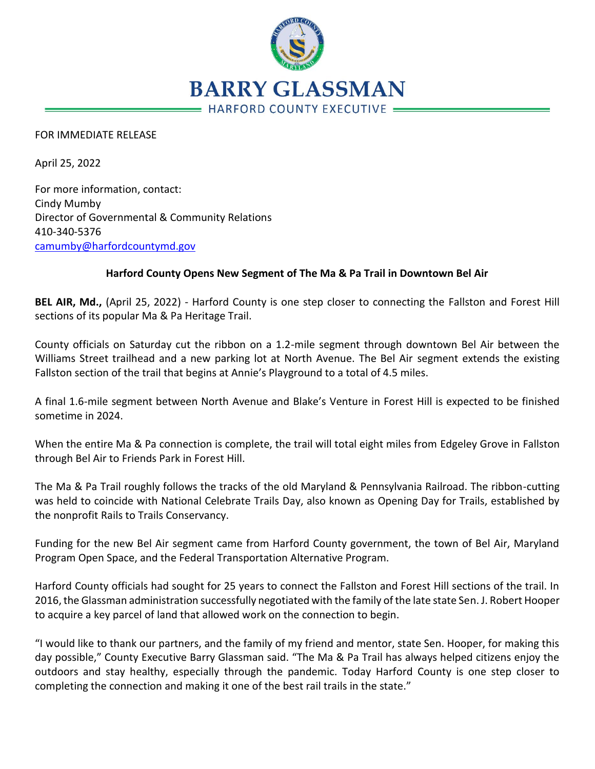

## FOR IMMEDIATE RELEASE

April 25, 2022

For more information, contact: Cindy Mumby Director of Governmental & Community Relations 410-340-5376 [camumby@harfordcountymd.gov](mailto:camumby@harfordcountymd.gov)

## **Harford County Opens New Segment of The Ma & Pa Trail in Downtown Bel Air**

**BEL AIR, Md.,** (April 25, 2022) - Harford County is one step closer to connecting the Fallston and Forest Hill sections of its popular Ma & Pa Heritage Trail.

County officials on Saturday cut the ribbon on a 1.2-mile segment through downtown Bel Air between the Williams Street trailhead and a new parking lot at North Avenue. The Bel Air segment extends the existing Fallston section of the trail that begins at Annie's Playground to a total of 4.5 miles.

A final 1.6-mile segment between North Avenue and Blake's Venture in Forest Hill is expected to be finished sometime in 2024.

When the entire Ma & Pa connection is complete, the trail will total eight miles from Edgeley Grove in Fallston through Bel Air to Friends Park in Forest Hill.

The Ma & Pa Trail roughly follows the tracks of the old Maryland & Pennsylvania Railroad. The ribbon-cutting was held to coincide with National Celebrate Trails Day, also known as Opening Day for Trails, established by the nonprofit Rails to Trails Conservancy.

Funding for the new Bel Air segment came from Harford County government, the town of Bel Air, Maryland Program Open Space, and the Federal Transportation Alternative Program.

Harford County officials had sought for 25 years to connect the Fallston and Forest Hill sections of the trail. In 2016, the Glassman administration successfully negotiated with the family of the late state Sen. J. Robert Hooper to acquire a key parcel of land that allowed work on the connection to begin.

"I would like to thank our partners, and the family of my friend and mentor, state Sen. Hooper, for making this day possible," County Executive Barry Glassman said. "The Ma & Pa Trail has always helped citizens enjoy the outdoors and stay healthy, especially through the pandemic. Today Harford County is one step closer to completing the connection and making it one of the best rail trails in the state."